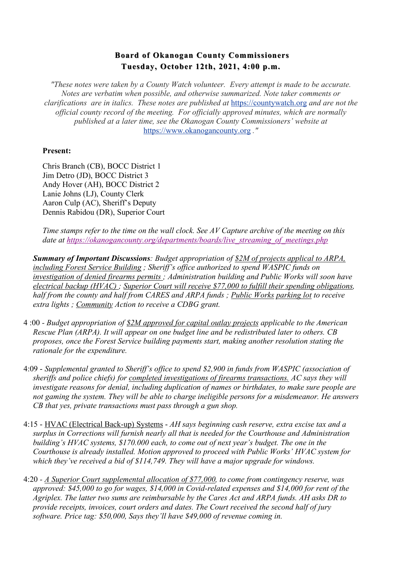## **Board of Okanogan County Commissioners Board of Okanogan County Commissioners Tuesday, October 12th, 2021, 4:00 p.m. Tuesday, October 12th, 2021, 4:00 p.m.**

*"These notes were taken by a County Watch volunteer. Every attempt is made to be accurate. Notes are verbatim when possible, and otherwise summarized. Note taker comments or clarifications are in italics. These notes are published at* https://countywatch.org *and are not the official county record of the meeting. For officially approved minutes, which are normally published at a later time, see the Okanogan County Commissioners' website at*  https://www.okanogancounty.org *."*

## **Present:**

Chris Branch (CB), BOCC District 1 Jim Detro (JD), BOCC District 3 Andy Hover (AH), BOCC District 2 Lanie Johns (LJ), County Clerk Aaron Culp (AC), Sheriff's Deputy Dennis Rabidou (DR), Superior Court

*Time stamps refer to the time on the wall clock. See AV Capture archive of the meeting on this*  date at https://okanogancounty.org/departments/boards/live\_streaming\_of\_meetings.php

*Summary of Important Discussions: Budget appropriation of \$2M of projects applical to ARPA, including Forest Service Building ; Sheriff's office authorized to spend WASPIC funds on investigation of denied firearms permits ; Administration building and Public Works will soon have electrical backup (HVAC) ; Superior Court will receive \$77,000 to fulfill their spending obligations, half from the county and half from CARES and ARPA funds ; Public Works parking lot to receive extra lights ; Community Action to receive a CDBG grant.*

- 4 :00  *Budget appropriation of \$2M approved for capital outlay projects applicable to the American Rescue Plan (ARPA). It will appear on one budget line and be redistributed later to others. CB proposes, once the Forest Service building payments start, making another resolution stating the rationale for the expenditure.*
- 4:09 *Supplemental granted to Sheriff's office to spend \$2,900 in funds from WASPIC (association of sheriffs and police chiefs) for completed investigations of firearms transactions. AC says they will investigate reasons for denial, including duplication of names or birthdates, to make sure people are not gaming the system. They will be able to charge ineligible persons for a misdemeanor. He answers CB that yes, private transactions must pass through a gun shop.*
- 4:15 HVAC (Electrical Back-up) Systems *AH says beginning cash reserve, extra excise tax and a surplus in Corrections will furnish nearly all that is needed for the Courthouse and Administration building's HVAC systems, \$170.000 each, to come out of next year's budget. The one in the Courthouse is already installed. Motion approved to proceed with Public Works' HVAC system for which they've received a bid of \$114,749. They will have a major upgrade for windows.*
- 4:20 *- A Superior Court supplemental allocation of \$77,000, to come from contingency reserve, was approved: \$45,000 to go for wages, \$14,000 in Covid-related expenses and \$14,000 for rent of the Agriplex. The latter two sums are reimbursable by the Cares Act and ARPA funds. AH asks DR to provide receipts, invoices, court orders and dates. The Court received the second half of jury software. Price tag: \$50,000, Says they'll have \$49,000 of revenue coming in.*